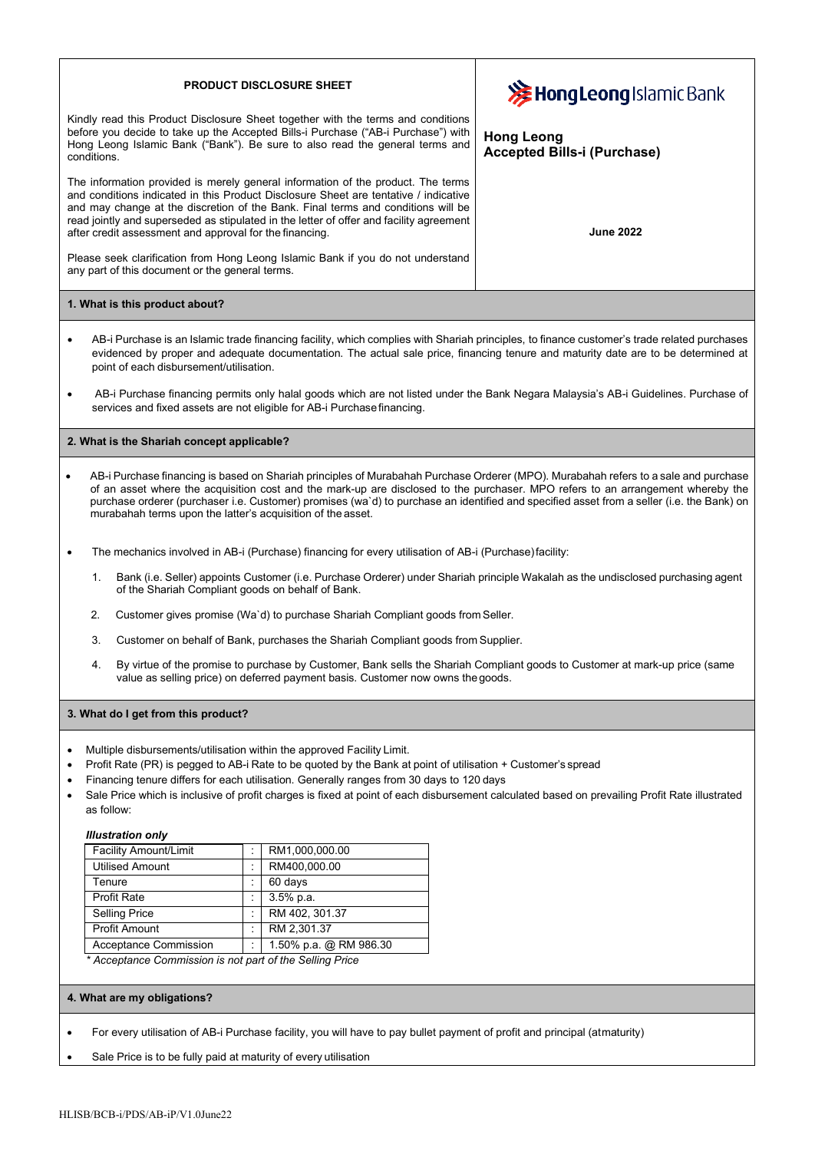## **PRODUCT DISCLOSURE SHEET**

Kindly read this Product Disclosure Sheet together with the terms and conditions before you decide to take up the Accepted Bills-i Purchase ("AB-i Purchase") with Hong Leong Islamic Bank ("Bank"). Be sure to also read the general terms and conditions.

The information provided is merely general information of the product. The terms and conditions indicated in this Product Disclosure Sheet are tentative / indicative and may change at the discretion of the Bank. Final terms and conditions will be read jointly and superseded as stipulated in the letter of offer and facility agreement after credit assessment and approval for the financing.

Please seek clarification from Hong Leong Islamic Bank if you do not understand any part of this document or the general terms.

## **1. What is this product about?**

- AB-i Purchase is an Islamic trade financing facility, which complies with Shariah principles, to finance customer's trade related purchases evidenced by proper and adequate documentation. The actual sale price, financing tenure and maturity date are to be determined at point of each disbursement/utilisation.
- AB-i Purchase financing permits only halal goods which are not listed under the Bank Negara Malaysia's AB-i Guidelines. Purchase of services and fixed assets are not eligible for AB-i Purchasefinancing.

#### **2. What is the Shariah concept applicable?**

- AB-i Purchase financing is based on Shariah principles of Murabahah Purchase Orderer (MPO). Murabahah refers to a sale and purchase of an asset where the acquisition cost and the mark-up are disclosed to the purchaser. MPO refers to an arrangement whereby the purchase orderer (purchaser i.e. Customer) promises (wa`d) to purchase an identified and specified asset from a seller (i.e. the Bank) on murabahah terms upon the latter's acquisition of the asset.
- The mechanics involved in AB-i (Purchase) financing for every utilisation of AB-i (Purchase)facility:
	- 1. Bank (i.e. Seller) appoints Customer (i.e. Purchase Orderer) under Shariah principle Wakalah as the undisclosed purchasing agent of the Shariah Compliant goods on behalf of Bank.
	- 2. Customer gives promise (Wa`d) to purchase Shariah Compliant goods from Seller.
	- 3. Customer on behalf of Bank, purchases the Shariah Compliant goods from Supplier.
	- 4. By virtue of the promise to purchase by Customer, Bank sells the Shariah Compliant goods to Customer at mark-up price (same value as selling price) on deferred payment basis. Customer now owns thegoods.

#### **3. What do I get from this product?**

- Multiple disbursements/utilisation within the approved Facility Limit.
- Profit Rate (PR) is pegged to AB-i Rate to be quoted by the Bank at point of utilisation + Customer's spread
- Financing tenure differs for each utilisation. Generally ranges from 30 days to 120 days
- Sale Price which is inclusive of profit charges is fixed at point of each disbursement calculated based on prevailing Profit Rate illustrated as follow:

#### *Illustration only*

| <b>Facility Amount/Limit</b>                             |   | RM1,000,000.00         |
|----------------------------------------------------------|---|------------------------|
| <b>Utilised Amount</b>                                   |   | RM400,000.00           |
| Tenure                                                   |   | 60 days                |
| <b>Profit Rate</b>                                       |   | $3.5%$ p.a.            |
| <b>Selling Price</b>                                     |   | RM 402, 301.37         |
| <b>Profit Amount</b>                                     | ٠ | RM 2,301.37            |
| Acceptance Commission                                    |   | 1.50% p.a. @ RM 986.30 |
| * Acceptance Commission is not part of the Selling Price |   |                        |

*\* Acceptance Commission is not part of the Selling Price*

#### **4. What are my obligations?**

• For every utilisation of AB-i Purchase facility, you will have to pay bullet payment of profit and principal (atmaturity)

Sale Price is to be fully paid at maturity of every utilisation

# **>>** Hong Leong Islamic Bank

**Hong Leong Accepted Bills-i (Purchase)**

**June 2022**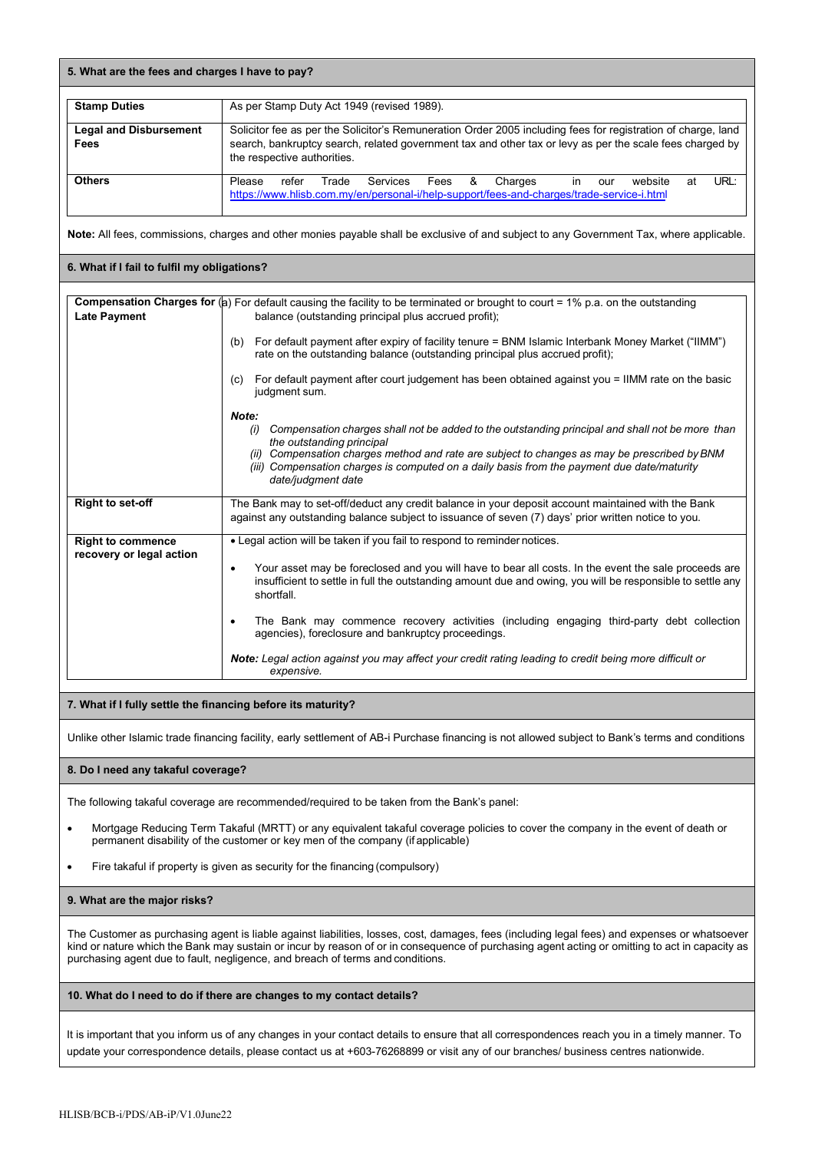| <b>Stamp Duties</b>                   | As per Stamp Duty Act 1949 (revised 1989).                                                                                                                                                                                                              |
|---------------------------------------|---------------------------------------------------------------------------------------------------------------------------------------------------------------------------------------------------------------------------------------------------------|
| <b>Legal and Disbursement</b><br>Fees | Solicitor fee as per the Solicitor's Remuneration Order 2005 including fees for registration of charge, land<br>search, bankruptcy search, related government tax and other tax or levy as per the scale fees charged by<br>the respective authorities. |
| <b>Others</b>                         | URL:<br>Please<br>Trade Services<br>Charges<br>refer<br>- &<br>Fees<br>website<br>at<br>in.<br>our<br>https://www.hlisb.com.my/en/personal-i/help-support/fees-and-charges/trade-service-i.html                                                         |

**Note:** All fees, commissions, charges and other monies payable shall be exclusive of and subject to any Government Tax, where applicable.

#### **6. What if I fail to fulfil my obligations?**

|                                                      | <b>Compensation Charges for (a)</b> For default causing the facility to be terminated or brought to court = 1% p.a. on the outstanding                                                                                                |
|------------------------------------------------------|---------------------------------------------------------------------------------------------------------------------------------------------------------------------------------------------------------------------------------------|
| <b>Late Payment</b>                                  | balance (outstanding principal plus accrued profit);                                                                                                                                                                                  |
|                                                      | For default payment after expiry of facility tenure = BNM Islamic Interbank Money Market ("IIMM")<br>(b)<br>rate on the outstanding balance (outstanding principal plus accrued profit);                                              |
|                                                      | For default payment after court judgement has been obtained against you = IIMM rate on the basic<br>(c)<br>judgment sum.                                                                                                              |
|                                                      | Note:                                                                                                                                                                                                                                 |
|                                                      | Compensation charges shall not be added to the outstanding principal and shall not be more than<br>(i)<br>the outstanding principal                                                                                                   |
|                                                      | (ii) Compensation charges method and rate are subject to changes as may be prescribed by BNM<br>(iii) Compensation charges is computed on a daily basis from the payment due date/maturity<br>date/judgment date                      |
| <b>Right to set-off</b>                              | The Bank may to set-off/deduct any credit balance in your deposit account maintained with the Bank<br>against any outstanding balance subject to issuance of seven (7) days' prior written notice to you.                             |
| <b>Right to commence</b><br>recovery or legal action | • Legal action will be taken if you fail to respond to reminder notices.                                                                                                                                                              |
|                                                      | Your asset may be foreclosed and you will have to bear all costs. In the event the sale proceeds are<br>٠<br>insufficient to settle in full the outstanding amount due and owing, you will be responsible to settle any<br>shortfall. |
|                                                      | The Bank may commence recovery activities (including engaging third-party debt collection<br>$\bullet$<br>agencies), foreclosure and bankruptcy proceedings.                                                                          |
|                                                      | Note: Legal action against you may affect your credit rating leading to credit being more difficult or<br>expensive.                                                                                                                  |

## **7. What if I fully settle the financing before its maturity?**

Unlike other Islamic trade financing facility, early settlement of AB-i Purchase financing is not allowed subject to Bank's terms and conditions

#### **8. Do I need any takaful coverage?**

The following takaful coverage are recommended/required to be taken from the Bank's panel:

- Mortgage Reducing Term Takaful (MRTT) or any equivalent takaful coverage policies to cover the company in the event of death or permanent disability of the customer or key men of the company (if applicable)
- Fire takaful if property is given as security for the financing (compulsory)

## **9. What are the major risks?**

The Customer as purchasing agent is liable against liabilities, losses, cost, damages, fees (including legal fees) and expenses or whatsoever kind or nature which the Bank may sustain or incur by reason of or in consequence of purchasing agent acting or omitting to act in capacity as purchasing agent due to fault, negligence, and breach of terms and conditions.

#### **10. What do I need to do if there are changes to my contact details?**

It is important that you inform us of any changes in your contact details to ensure that all correspondences reach you in a timely manner. To update your correspondence details, please contact us at +603-76268899 or visit any of our branches/ business centres nationwide.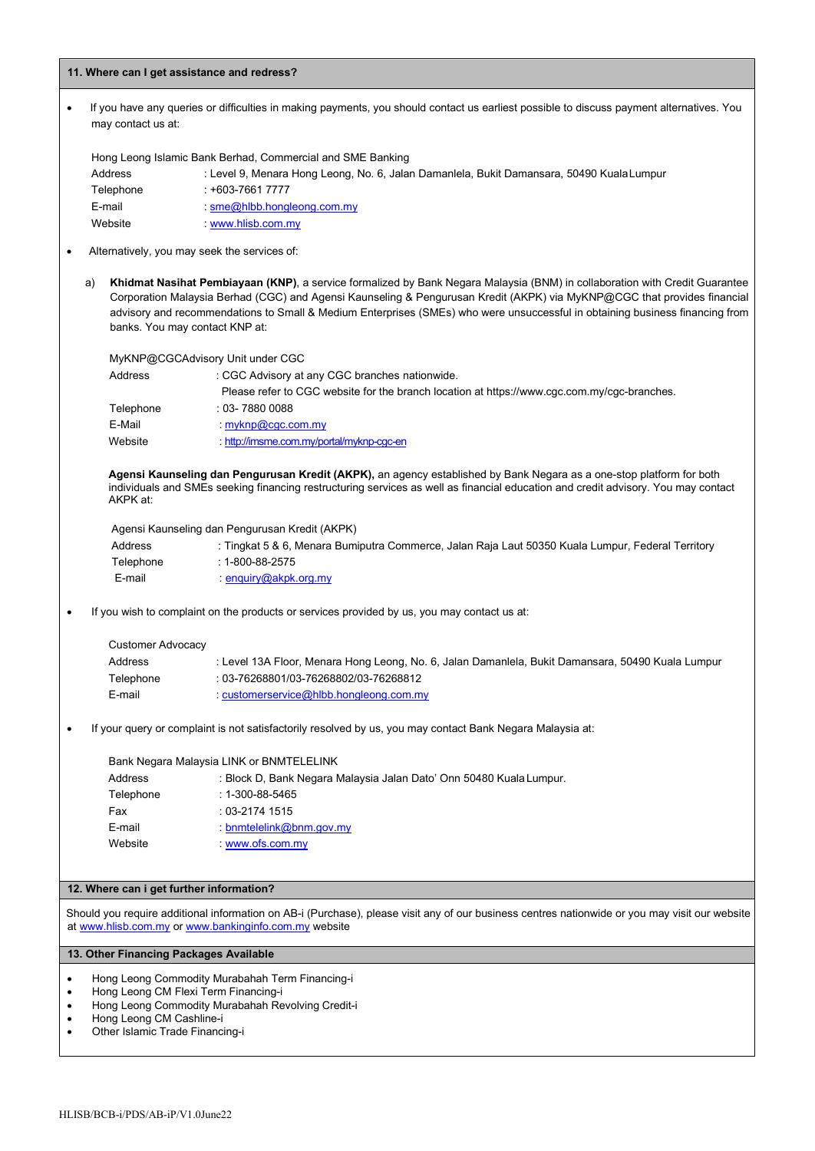#### **11. Where can I get assistance and redress?**

• If you have any queries or difficulties in making payments, you should contact us earliest possible to discuss payment alternatives. You may contact us at:

Hong Leong Islamic Bank Berhad, Commercial and SME Banking

| Address   | : Level 9, Menara Hong Leong, No. 6, Jalan Damanlela, Bukit Damansara, 50490 Kuala Lumpur |
|-----------|-------------------------------------------------------------------------------------------|
| Telephone | : +603-7661 7777                                                                          |
| E-mail    | $\mathsf{sme}\textcircled{a}$ hlbb.hongleong.com.my                                       |
| Website   | www.hlish.com.mv                                                                          |

- Alternatively, you may seek the services of:
	- a) **Khidmat Nasihat Pembiayaan (KNP)**, a service formalized by Bank Negara Malaysia (BNM) in collaboration with Credit Guarantee Corporation Malaysia Berhad (CGC) and Agensi Kaunseling & Pengurusan Kredit (AKPK) via MyKNP@CGC that provides financial advisory and recommendations to Small & Medium Enterprises (SMEs) who were unsuccessful in obtaining business financing from banks. You may contact KNP at:

MyKNP@CGCAdvisory Unit under CGC

| Address   | : CGC Advisory at any CGC branches nationwide.                                              |
|-----------|---------------------------------------------------------------------------------------------|
|           | Please refer to CGC website for the branch location at https://www.cqc.com.my/cqc-branches. |
| Telephone | : 03- 7880 0088                                                                             |
| E-Mail    | myknp@cqc.com.my                                                                            |
| Website   | http://imsme.com.my/portal/myknp-cqc-en                                                     |

**Agensi Kaunseling dan Pengurusan Kredit (AKPK),** an agency established by Bank Negara as a one-stop platform for both individuals and SMEs seeking financing restructuring services as well as financial education and credit advisory. You may contact AKPK at:

Agensi Kaunseling dan Pengurusan Kredit (AKPK)

| Address   | : Tingkat 5 & 6, Menara Bumiputra Commerce, Jalan Raja Laut 50350 Kuala Lumpur, Federal Territory |
|-----------|---------------------------------------------------------------------------------------------------|
| Telephone | : 1-800-88-2575                                                                                   |
| E-mail    | enguiry@akpk.org.my                                                                               |

If you wish to complaint on the products or services provided by us, you may contact us at:

| Customer Advocacy |                                                                                                   |
|-------------------|---------------------------------------------------------------------------------------------------|
| Address           | : Level 13A Floor, Menara Hong Leong, No. 6, Jalan Damanlela, Bukit Damansara, 50490 Kuala Lumpur |
| Telephone         | : 03-76268801/03-76268802/03-76268812                                                             |
| E-mail            | customerservice@hlbb.hongleong.com.my                                                             |

• If your query or complaint is not satisfactorily resolved by us, you may contact Bank Negara Malaysia at:

Bank Negara Malaysia LINK or BNMTELELINK Address : Block D, Bank Negara Malaysia Jalan Dato' Onn 50480 Kuala Lumpur. Telephone : 1-300-88-5465 Fax : 03-2174 1515 E-mail : [bnmtelelink@bnm.gov.my](mailto:bnmtelelink@bnm.gov.my) Website : [www.ofs.com.my](http://www.ofs.com.my/)

## **12. Where can i get further information?**

Should you require additional information on AB-i (Purchase), please visit any of our business centres nationwide or you may visit our website at [www.hlisb.com.my](http://www.hlisb.com.my/) or [www.bankinginfo.com.my](http://www.bankinginfo.com.my/) website

#### **13. Other Financing Packages Available**

- Hong Leong Commodity Murabahah Term Financing-i
- Hong Leong CM Flexi Term Financing-i
- Hong Leong Commodity Murabahah Revolving Credit-i
- Hong Leong CM Cashline-i
- Other Islamic Trade Financing-i